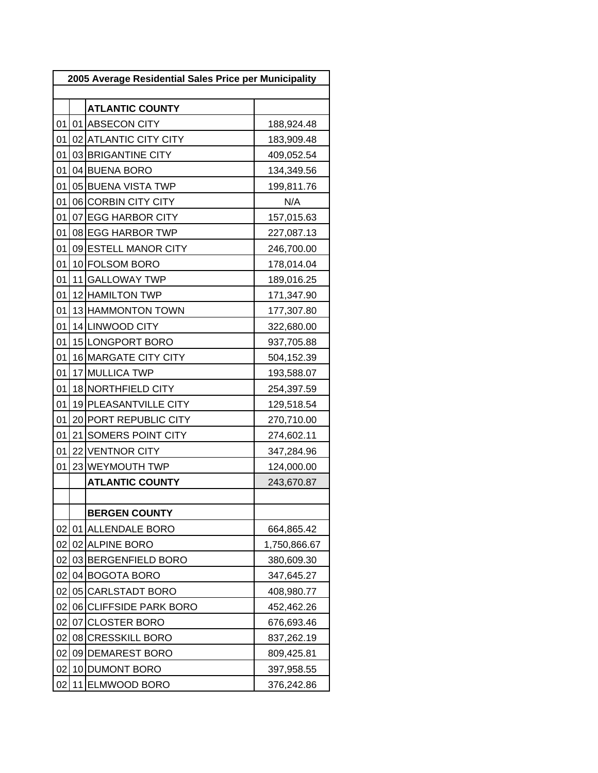| 2005 Average Residential Sales Price per Municipality |    |                            |              |
|-------------------------------------------------------|----|----------------------------|--------------|
|                                                       |    | <b>ATLANTIC COUNTY</b>     |              |
| 01                                                    |    | 01 ABSECON CITY            | 188,924.48   |
| 01                                                    |    | 02 ATLANTIC CITY CITY      | 183,909.48   |
| 01                                                    |    | 03 BRIGANTINE CITY         | 409,052.54   |
| 01                                                    |    | 04 BUENA BORO              | 134,349.56   |
| 01                                                    |    | 05 BUENA VISTA TWP         | 199,811.76   |
| 01                                                    |    | 06 CORBIN CITY CITY        | N/A          |
| 01                                                    |    | 07 EGG HARBOR CITY         | 157,015.63   |
| 01                                                    |    | 08 EGG HARBOR TWP          | 227,087.13   |
| 01                                                    |    | 09 ESTELL MANOR CITY       | 246,700.00   |
| 01                                                    |    | 10 FOLSOM BORO             | 178,014.04   |
| 01                                                    |    | 11 GALLOWAY TWP            | 189,016.25   |
| 01                                                    |    | 12 HAMILTON TWP            | 171,347.90   |
| 01                                                    |    | 13 HAMMONTON TOWN          | 177,307.80   |
| 01                                                    |    | 14 LINWOOD CITY            | 322,680.00   |
| 01                                                    |    | 15 LONGPORT BORO           | 937,705.88   |
| 01                                                    |    | 16 MARGATE CITY CITY       | 504,152.39   |
| 01                                                    |    | 17 MULLICA TWP             | 193,588.07   |
| 01                                                    |    | 18 NORTHFIELD CITY         | 254,397.59   |
| 01                                                    |    | 19 PLEASANTVILLE CITY      | 129,518.54   |
| 01                                                    |    | 20 PORT REPUBLIC CITY      | 270,710.00   |
| 01                                                    |    | 21 SOMERS POINT CITY       | 274,602.11   |
| 01                                                    |    | 22 VENTNOR CITY            | 347,284.96   |
| 01                                                    |    | 23 WEYMOUTH TWP            | 124,000.00   |
|                                                       |    | <b>ATLANTIC COUNTY</b>     | 243,670.87   |
|                                                       |    |                            |              |
|                                                       |    | <b>BERGEN COUNTY</b>       |              |
| 02                                                    | 01 | <b>ALLENDALE BORO</b>      | 664,865.42   |
| 02                                                    | 02 | <b>ALPINE BORO</b>         | 1,750,866.67 |
| 02                                                    |    | 03 BERGENFIELD BORO        | 380,609.30   |
| 02                                                    |    | 04 BOGOTA BORO             | 347,645.27   |
| 02                                                    | 05 | <b>CARLSTADT BORO</b>      | 408,980.77   |
| 02                                                    | 06 | <b>CLIFFSIDE PARK BORO</b> | 452,462.26   |
| 02                                                    | 07 | <b>CLOSTER BORO</b>        | 676,693.46   |
| 02                                                    | 08 | <b>CRESSKILL BORO</b>      | 837,262.19   |
| 02                                                    | 09 | <b>DEMAREST BORO</b>       | 809,425.81   |
| 02                                                    | 10 | <b>DUMONT BORO</b>         | 397,958.55   |
| 02                                                    | 11 | <b>ELMWOOD BORO</b>        | 376,242.86   |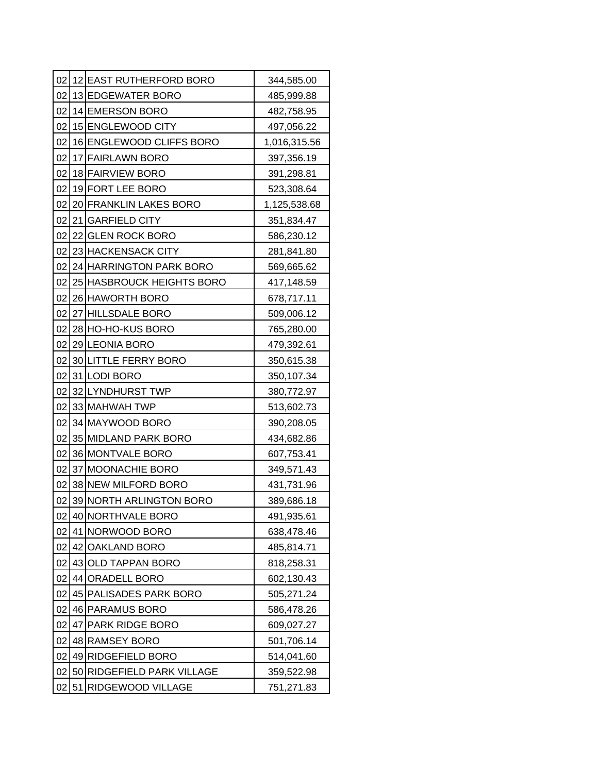|                 |    | 02 12 EAST RUTHERFORD BORO  | 344,585.00   |
|-----------------|----|-----------------------------|--------------|
| 02              |    | 13 EDGEWATER BORO           | 485,999.88   |
| 02              |    | 14 EMERSON BORO             | 482,758.95   |
| 02              |    | 15 ENGLEWOOD CITY           | 497,056.22   |
| 02              |    | 16 ENGLEWOOD CLIFFS BORO    | 1,016,315.56 |
| 02              |    | 17 FAIRLAWN BORO            | 397,356.19   |
| 02              |    | 18 FAIRVIEW BORO            | 391,298.81   |
| 02              |    | 19 FORT LEE BORO            | 523,308.64   |
| 02              |    | 20 FRANKLIN LAKES BORO      | 1,125,538.68 |
| 02              |    | 21 GARFIELD CITY            | 351,834.47   |
| 02              |    | 22 GLEN ROCK BORO           | 586,230.12   |
| 02              |    | 23 HACKENSACK CITY          | 281,841.80   |
| 02              |    | 24 HARRINGTON PARK BORO     | 569,665.62   |
| 02              |    | 25 HASBROUCK HEIGHTS BORO   | 417,148.59   |
| 02              |    | 26 HAWORTH BORO             | 678,717.11   |
| 02              |    | 27 HILLSDALE BORO           | 509,006.12   |
| 02              |    | 28 HO-HO-KUS BORO           | 765,280.00   |
| 02              |    | 29 LEONIA BORO              | 479,392.61   |
| 02              |    | <b>30 LITTLE FERRY BORO</b> | 350,615.38   |
| 02              |    | 31 LODI BORO                | 350,107.34   |
| 02              |    | 32 LYNDHURST TWP            | 380,772.97   |
| 02              |    | 33 MAHWAH TWP               | 513,602.73   |
| 02              |    | 34 MAYWOOD BORO             | 390,208.05   |
| 02              |    | 35 MIDLAND PARK BORO        | 434,682.86   |
| 02 <sub>2</sub> |    | 36 MONTVALE BORO            | 607,753.41   |
| 02              |    | 37 MOONACHIE BORO           | 349,571.43   |
| 02              |    | 38 NEW MILFORD BORO         | 431,731.96   |
| 02              |    | 39 NORTH ARLINGTON BORO     | 389,686.18   |
| 02              |    | 40 NORTHVALE BORO           | 491,935.61   |
| 02              |    | 41 NORWOOD BORO             | 638,478.46   |
| 02              |    | 42 OAKLAND BORO             | 485,814.71   |
| 02              |    | 43 OLD TAPPAN BORO          | 818,258.31   |
| 02              |    | 44 ORADELL BORO             | 602,130.43   |
| 02              |    | 45 PALISADES PARK BORO      | 505,271.24   |
| 02              |    | 46 PARAMUS BORO             | 586,478.26   |
| 02              |    | 47 PARK RIDGE BORO          | 609,027.27   |
| 02              |    | 48 RAMSEY BORO              | 501,706.14   |
| 02              |    | 49 RIDGEFIELD BORO          | 514,041.60   |
| 02              |    | 50 RIDGEFIELD PARK VILLAGE  | 359,522.98   |
| 02              | 51 | RIDGEWOOD VILLAGE           | 751,271.83   |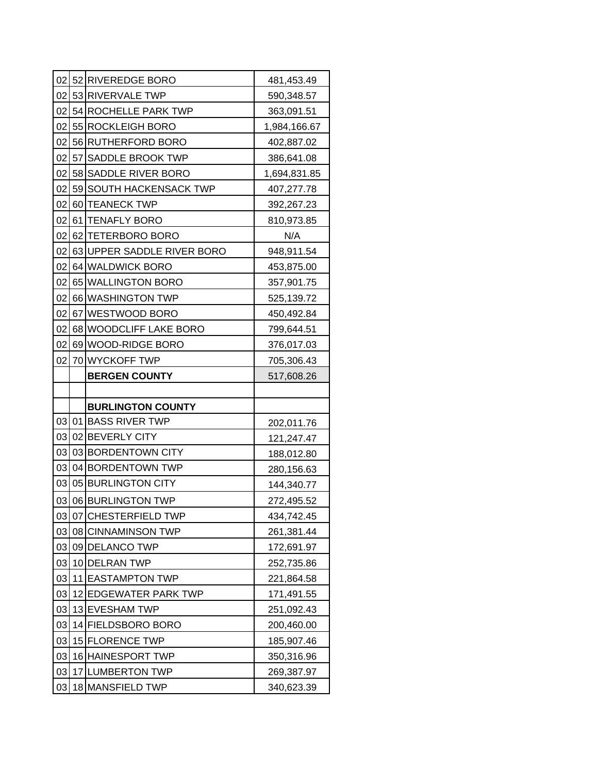|    | 02 52 RIVEREDGE BORO       | 481,453.49   |
|----|----------------------------|--------------|
| 02 | 53 RIVERVALE TWP           | 590,348.57   |
| 02 | 54 ROCHELLE PARK TWP       | 363,091.51   |
| 02 | 55 ROCKLEIGH BORO          | 1,984,166.67 |
| 02 | 56 RUTHERFORD BORO         | 402,887.02   |
| 02 | 57 SADDLE BROOK TWP        | 386,641.08   |
| 02 | 58 SADDLE RIVER BORO       | 1,694,831.85 |
| 02 | 59 SOUTH HACKENSACK TWP    | 407,277.78   |
| 02 | 60 TEANECK TWP             | 392,267.23   |
|    | 02 61 TENAFLY BORO         | 810,973.85   |
| 02 | 62 TETERBORO BORO          | N/A          |
| 02 | 63 UPPER SADDLE RIVER BORO | 948,911.54   |
| 02 | 64 WALDWICK BORO           | 453,875.00   |
| 02 | 65 WALLINGTON BORO         | 357,901.75   |
| 02 | 66 WASHINGTON TWP          | 525,139.72   |
| 02 | 67 WESTWOOD BORO           | 450,492.84   |
| 02 | 68 WOODCLIFF LAKE BORO     | 799,644.51   |
| 02 | 69 WOOD-RIDGE BORO         | 376,017.03   |
| 02 | 70 WYCKOFF TWP             | 705,306.43   |
|    | <b>BERGEN COUNTY</b>       | 517,608.26   |
|    |                            |              |
|    |                            |              |
|    | <b>BURLINGTON COUNTY</b>   |              |
| 03 | 01 BASS RIVER TWP          | 202,011.76   |
| 03 | 02 BEVERLY CITY            | 121,247.47   |
| 03 | 03 BORDENTOWN CITY         | 188,012.80   |
| 03 | 04 BORDENTOWN TWP          | 280,156.63   |
| 03 | 05 BURLINGTON CITY         | 144,340.77   |
| 03 | 06 BURLINGTON TWP          | 272,495.52   |
| 03 | 07 CHESTERFIELD TWP        | 434,742.45   |
| 03 | 08 CINNAMINSON TWP         | 261,381.44   |
| 03 | 09 DELANCO TWP             | 172,691.97   |
| 03 | 10 DELRAN TWP              | 252,735.86   |
| 03 | 11 EASTAMPTON TWP          | 221,864.58   |
| 03 | 12 EDGEWATER PARK TWP      | 171,491.55   |
| 03 | 13 EVESHAM TWP             | 251,092.43   |
| 03 | 14 FIELDSBORO BORO         | 200,460.00   |
| 03 | 15 FLORENCE TWP            | 185,907.46   |
| 03 | 16 HAINESPORT TWP          | 350,316.96   |
| 03 | 17 LUMBERTON TWP           | 269,387.97   |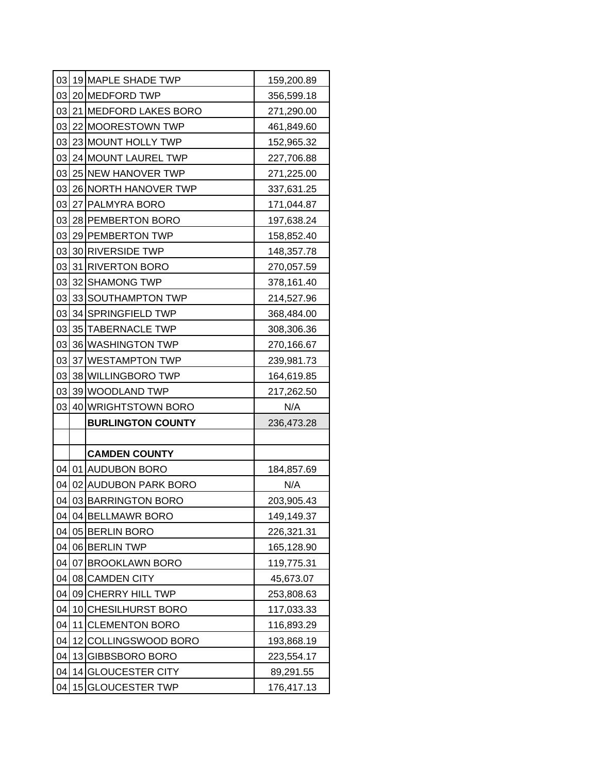|    |      | 03 19 MAPLE SHADE TWP    | 159,200.89 |
|----|------|--------------------------|------------|
| 03 |      | 20 MEDFORD TWP           | 356,599.18 |
| 03 |      | 21 MEDFORD LAKES BORO    | 271,290.00 |
| 03 |      | 22 MOORESTOWN TWP        | 461,849.60 |
| 03 |      | 23 MOUNT HOLLY TWP       | 152,965.32 |
| 03 |      | 24 MOUNT LAUREL TWP      | 227,706.88 |
| 03 |      | 25 NEW HANOVER TWP       | 271,225.00 |
| 03 |      | 26 NORTH HANOVER TWP     | 337,631.25 |
| 03 |      | 27 PALMYRA BORO          | 171,044.87 |
| 03 |      | 28 PEMBERTON BORO        | 197,638.24 |
| 03 |      | 29 PEMBERTON TWP         | 158,852.40 |
| 03 |      | 30 RIVERSIDE TWP         | 148,357.78 |
| 03 |      | 31 RIVERTON BORO         | 270,057.59 |
| 03 |      | 32 SHAMONG TWP           | 378,161.40 |
| 03 |      | 33 SOUTHAMPTON TWP       | 214,527.96 |
| 03 |      | 34 SPRINGFIELD TWP       | 368,484.00 |
| 03 |      | 35 TABERNACLE TWP        | 308,306.36 |
| 03 |      | 36 WASHINGTON TWP        | 270,166.67 |
| 03 |      | 37 WESTAMPTON TWP        | 239,981.73 |
| 03 |      | 38 WILLINGBORO TWP       | 164,619.85 |
| 03 |      | 39 WOODLAND TWP          | 217,262.50 |
| 03 |      | 40 WRIGHTSTOWN BORO      | N/A        |
|    |      | <b>BURLINGTON COUNTY</b> |            |
|    |      |                          | 236,473.28 |
|    |      |                          |            |
|    |      | <b>CAMDEN COUNTY</b>     |            |
| 04 |      | 01 AUDUBON BORO          | 184,857.69 |
| 04 |      | 02 AUDUBON PARK BORO     | N/A        |
| 04 |      | 03 BARRINGTON BORO       | 203,905.43 |
| 04 |      | 04 BELLMAWR BORO         | 149,149.37 |
| 04 |      | 05 BERLIN BORO           | 226,321.31 |
| 04 |      | 06 BERLIN TWP            | 165,128.90 |
| 04 | 07 I | <b>BROOKLAWN BORO</b>    | 119,775.31 |
| 04 |      | 08 CAMDEN CITY           | 45,673.07  |
| 04 |      | 09 CHERRY HILL TWP       | 253,808.63 |
| 04 |      | 10 CHESILHURST BORO      | 117,033.33 |
| 04 |      | 11 CLEMENTON BORO        | 116,893.29 |
| 04 |      | 12 COLLINGSWOOD BORO     | 193,868.19 |
| 04 |      | 13 GIBBSBORO BORO        | 223,554.17 |
| 04 |      | 14 GLOUCESTER CITY       | 89,291.55  |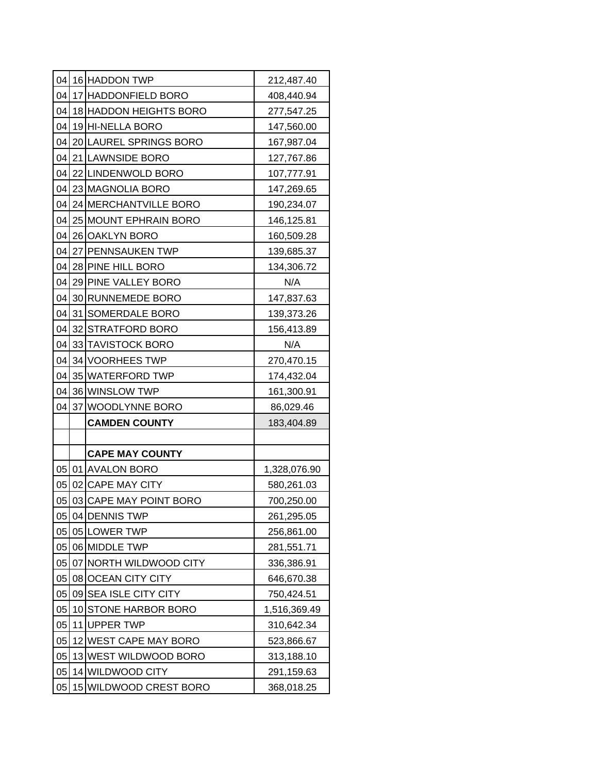|    | 04 16 HADDON TWP         | 212,487.40   |
|----|--------------------------|--------------|
| 04 | 17 HADDONFIELD BORO      | 408,440.94   |
| 04 | 18 HADDON HEIGHTS BORO   | 277,547.25   |
|    | 04 19 HI-NELLA BORO      | 147,560.00   |
| 04 | 20 LAUREL SPRINGS BORO   | 167,987.04   |
| 04 | 21 LAWNSIDE BORO         | 127,767.86   |
| 04 | 22 LINDENWOLD BORO       | 107,777.91   |
| 04 | 23 MAGNOLIA BORO         | 147,269.65   |
| 04 | 24 MERCHANTVILLE BORO    | 190,234.07   |
|    | 04 25 MOUNT EPHRAIN BORO | 146,125.81   |
| 04 | 26 OAKLYN BORO           | 160,509.28   |
| 04 | 27 PENNSAUKEN TWP        | 139,685.37   |
|    | 04 28 PINE HILL BORO     | 134,306.72   |
| 04 | 29 PINE VALLEY BORO      | N/A          |
| 04 | 30 RUNNEMEDE BORO        | 147,837.63   |
| 04 | 31 SOMERDALE BORO        | 139,373.26   |
| 04 | 32 STRATFORD BORO        | 156,413.89   |
| 04 | 33 TAVISTOCK BORO        | N/A          |
| 04 | 34 VOORHEES TWP          | 270,470.15   |
| 04 | 35 WATERFORD TWP         | 174,432.04   |
| 04 | 36 WINSLOW TWP           | 161,300.91   |
| 04 | 37 WOODLYNNE BORO        | 86,029.46    |
|    | <b>CAMDEN COUNTY</b>     | 183,404.89   |
|    |                          |              |
|    | <b>CAPE MAY COUNTY</b>   |              |
| 05 | 01 AVALON BORO           | 1,328,076.90 |
| 05 | 02 CAPE MAY CITY         | 580,261.03   |
| 05 | 03 CAPE MAY POINT BORO   | 700,250.00   |
|    | 05 04 DENNIS TWP         | 261,295.05   |
| 05 | 05 LOWER TWP             | 256,861.00   |
| 05 | 06 MIDDLE TWP            | 281,551.71   |
| 05 | 07 NORTH WILDWOOD CITY   | 336,386.91   |
| 05 | 08 OCEAN CITY CITY       | 646,670.38   |
| 05 | 09 SEA ISLE CITY CITY    | 750,424.51   |
| 05 | 10 STONE HARBOR BORO     | 1,516,369.49 |
| 05 | 11 UPPER TWP             | 310,642.34   |
| 05 | 12 WEST CAPE MAY BORO    | 523,866.67   |
| 05 | 13 WEST WILDWOOD BORO    | 313,188.10   |
| 05 | 14 WILDWOOD CITY         | 291,159.63   |
|    |                          |              |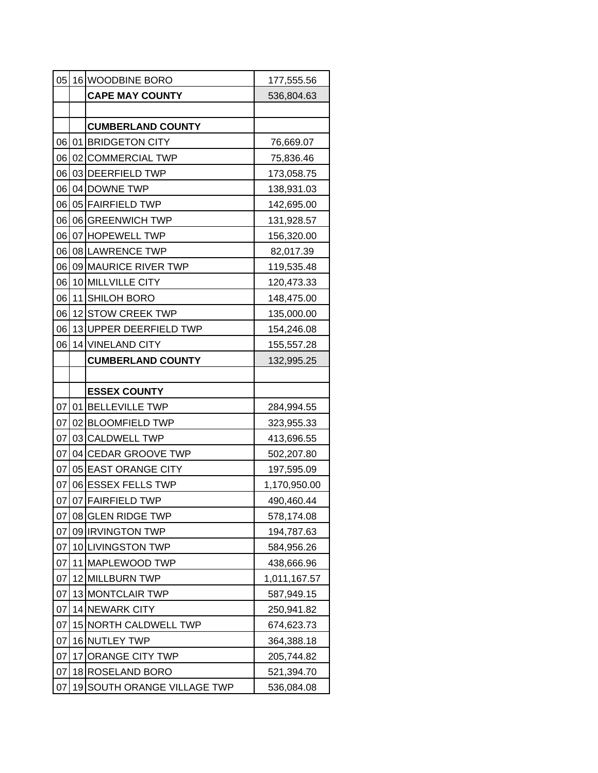| 05 |    | 16 WOODBINE BORO         | 177,555.56   |
|----|----|--------------------------|--------------|
|    |    | <b>CAPE MAY COUNTY</b>   | 536,804.63   |
|    |    |                          |              |
|    |    | <b>CUMBERLAND COUNTY</b> |              |
|    |    | 06 01 BRIDGETON CITY     | 76,669.07    |
| 06 |    | 02 COMMERCIAL TWP        | 75,836.46    |
| 06 |    | 03 DEERFIELD TWP         | 173,058.75   |
|    |    | 06 04 DOWNE TWP          | 138,931.03   |
| 06 |    | 05 FAIRFIELD TWP         | 142,695.00   |
| 06 |    | 06 GREENWICH TWP         | 131,928.57   |
|    |    | 06 07 HOPEWELL TWP       | 156,320.00   |
| 06 |    | 08 LAWRENCE TWP          | 82,017.39    |
| 06 |    | 09 MAURICE RIVER TWP     | 119,535.48   |
| 06 |    | 10 MILLVILLE CITY        | 120,473.33   |
| 06 |    | 11 SHILOH BORO           | 148,475.00   |
| 06 |    | 12 STOW CREEK TWP        | 135,000.00   |
| 06 |    | 13 UPPER DEERFIELD TWP   | 154,246.08   |
| 06 |    | 14 VINELAND CITY         | 155,557.28   |
|    |    | <b>CUMBERLAND COUNTY</b> | 132,995.25   |
|    |    |                          |              |
|    |    |                          |              |
|    |    | <b>ESSEX COUNTY</b>      |              |
| 07 |    | 01 BELLEVILLE TWP        | 284,994.55   |
| 07 |    | 02 BLOOMFIELD TWP        | 323,955.33   |
| 07 |    | 03 CALDWELL TWP          | 413,696.55   |
| 07 |    | 04 CEDAR GROOVE TWP      | 502,207.80   |
| 07 |    | 05 EAST ORANGE CITY      | 197,595.09   |
| 07 |    | 06 ESSEX FELLS TWP       | 1,170,950.00 |
| 07 |    | 07 FAIRFIELD TWP         | 490,460.44   |
| 07 |    | 08 GLEN RIDGE TWP        | 578,174.08   |
| 07 |    | 09 IRVINGTON TWP         | 194,787.63   |
| 07 |    | 10 LIVINGSTON TWP        | 584,956.26   |
| 07 | 11 | <b>MAPLEWOOD TWP</b>     | 438,666.96   |
| 07 |    | 12 MILLBURN TWP          | 1,011,167.57 |
| 07 |    | 13 MONTCLAIR TWP         | 587,949.15   |
| 07 |    | 14 NEWARK CITY           | 250,941.82   |
| 07 |    | 15 NORTH CALDWELL TWP    | 674,623.73   |
| 07 |    | 16 NUTLEY TWP            | 364,388.18   |
| 07 | 17 | <b>ORANGE CITY TWP</b>   | 205,744.82   |
| 07 |    | 18 ROSELAND BORO         | 521,394.70   |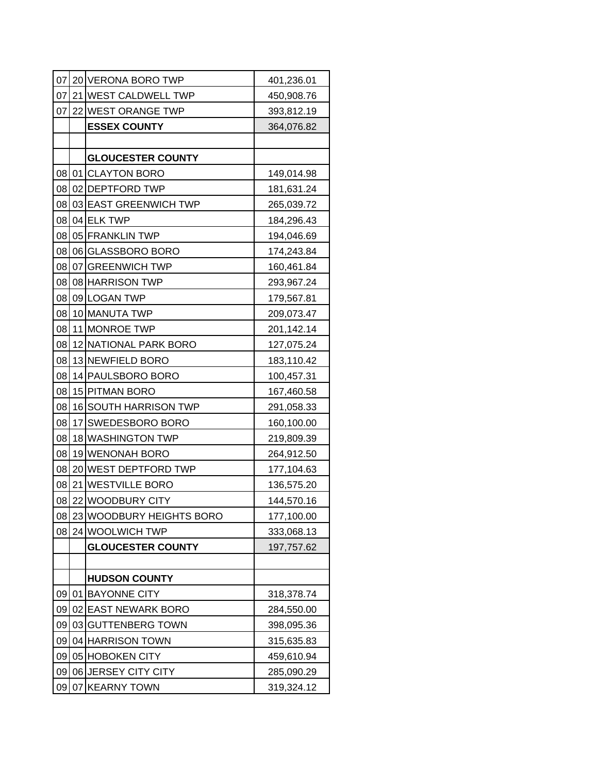| 07 |    | 20 VERONA BORO TWP       | 401,236.01 |
|----|----|--------------------------|------------|
| 07 |    | 21 WEST CALDWELL TWP     | 450,908.76 |
| 07 |    | 22 WEST ORANGE TWP       | 393,812.19 |
|    |    | <b>ESSEX COUNTY</b>      | 364,076.82 |
|    |    |                          |            |
|    |    | <b>GLOUCESTER COUNTY</b> |            |
|    |    | 08 01 CLAYTON BORO       | 149,014.98 |
| 08 |    | 02 DEPTFORD TWP          | 181,631.24 |
| 08 |    | 03 EAST GREENWICH TWP    | 265,039.72 |
|    |    | 08 04 ELK TWP            | 184,296.43 |
|    |    | 08 05 FRANKLIN TWP       | 194,046.69 |
| 08 |    | 06 GLASSBORO BORO        | 174,243.84 |
|    |    | 08 07 GREENWICH TWP      | 160,461.84 |
|    |    | 08 08 HARRISON TWP       | 293,967.24 |
| 08 |    | 09 LOGAN TWP             | 179,567.81 |
|    |    | 08 10 MANUTA TWP         | 209,073.47 |
| 08 |    | 11 MONROE TWP            | 201,142.14 |
| 08 |    | 12 NATIONAL PARK BORO    | 127,075.24 |
| 08 |    | 13 NEWFIELD BORO         | 183,110.42 |
| 08 |    | 14 PAULSBORO BORO        | 100,457.31 |
| 08 |    | 15 PITMAN BORO           | 167,460.58 |
| 08 |    | 16 SOUTH HARRISON TWP    | 291,058.33 |
| 08 |    | 17 SWEDESBORO BORO       | 160,100.00 |
| 08 |    | 18 WASHINGTON TWP        | 219,809.39 |
| 08 |    | 19 WENONAH BORO          | 264,912.50 |
| 08 |    | 20 WEST DEPTFORD TWP     | 177,104.63 |
| 08 |    | 21 WESTVILLE BORO        | 136,575.20 |
| 08 |    | 22 WOODBURY CITY         | 144,570.16 |
| 08 |    | 23 WOODBURY HEIGHTS BORO | 177,100.00 |
| 08 |    | 24 WOOLWICH TWP          | 333,068.13 |
|    |    | <b>GLOUCESTER COUNTY</b> | 197,757.62 |
|    |    |                          |            |
|    |    | <b>HUDSON COUNTY</b>     |            |
| 09 | 01 | <b>BAYONNE CITY</b>      | 318,378.74 |
| 09 |    | 02 EAST NEWARK BORO      | 284,550.00 |
| 09 |    | 03 GUTTENBERG TOWN       | 398,095.36 |
| 09 |    | 04 HARRISON TOWN         | 315,635.83 |
| 09 |    | 05 HOBOKEN CITY          | 459,610.94 |
| 09 |    | 06 JERSEY CITY CITY      | 285,090.29 |
| 09 |    | 07 KEARNY TOWN           | 319,324.12 |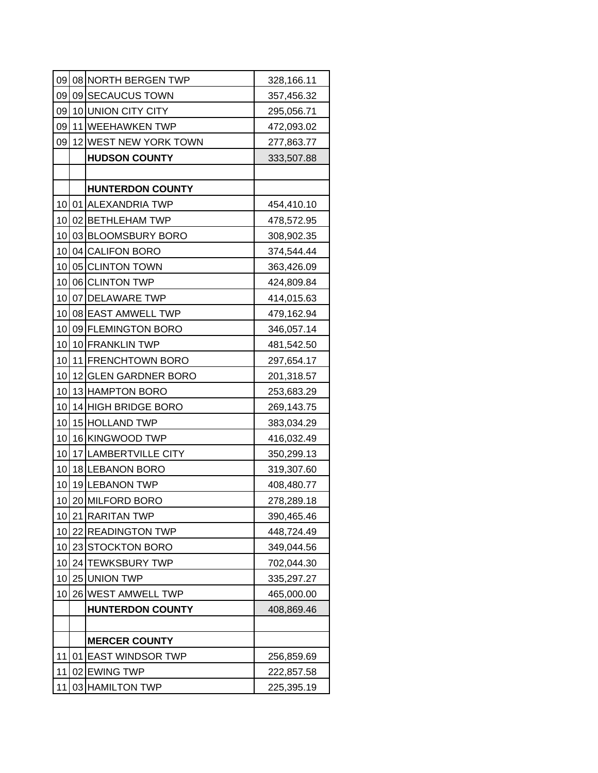| 09              | 08 NORTH BERGEN TWP     | 328,166.11 |
|-----------------|-------------------------|------------|
| 09              | 09 SECAUCUS TOWN        | 357,456.32 |
| 09              | 10 UNION CITY CITY      | 295,056.71 |
| 09              | 11 WEEHAWKEN TWP        | 472,093.02 |
| 09              | 12 WEST NEW YORK TOWN   | 277,863.77 |
|                 | <b>HUDSON COUNTY</b>    | 333,507.88 |
|                 |                         |            |
|                 | <b>HUNTERDON COUNTY</b> |            |
|                 | 10 01 ALEXANDRIA TWP    | 454,410.10 |
|                 | 10 02 BETHLEHAM TWP     | 478,572.95 |
| 10I             | 03 BLOOMSBURY BORO      | 308,902.35 |
|                 | 10 04 CALIFON BORO      | 374,544.44 |
|                 | 10 05 CLINTON TOWN      | 363,426.09 |
|                 | 10 06 CLINTON TWP       | 424,809.84 |
|                 | 10 07 DELAWARE TWP      | 414,015.63 |
|                 | 10 08 EAST AMWELL TWP   | 479,162.94 |
|                 | 10 09 FLEMINGTON BORO   | 346,057.14 |
| 10 <sup>1</sup> | 10 FRANKLIN TWP         | 481,542.50 |
|                 | 10 11 FRENCHTOWN BORO   | 297,654.17 |
| 10 <sub>1</sub> | 12 GLEN GARDNER BORO    | 201,318.57 |
| 10              | 13 HAMPTON BORO         | 253,683.29 |
| 10 <sup>1</sup> | 14 HIGH BRIDGE BORO     | 269,143.75 |
| 10              | 15 HOLLAND TWP          | 383,034.29 |
| 10              | 16 KINGWOOD TWP         | 416,032.49 |
| 10              | 17 LAMBERTVILLE CITY    | 350,299.13 |
| 10              | 18 LEBANON BORO         | 319,307.60 |
| 10              | 19 LEBANON TWP          | 408,480.77 |
| 10              | 20 MILFORD BORO         | 278,289.18 |
|                 | 10 21 RARITAN TWP       | 390,465.46 |
| 10              | 22 READINGTON TWP       | 448,724.49 |
| 10              | 23 STOCKTON BORO        | 349,044.56 |
| 10              | 24 TEWKSBURY TWP        | 702,044.30 |
| 10              | 25 UNION TWP            | 335,297.27 |
| 10              | 26 WEST AMWELL TWP      | 465,000.00 |
|                 | <b>HUNTERDON COUNTY</b> | 408,869.46 |
|                 |                         |            |
|                 | <b>MERCER COUNTY</b>    |            |
| 11              | 01 EAST WINDSOR TWP     | 256,859.69 |
| 11              | 02 EWING TWP            | 222,857.58 |
| 11              | 03 HAMILTON TWP         | 225,395.19 |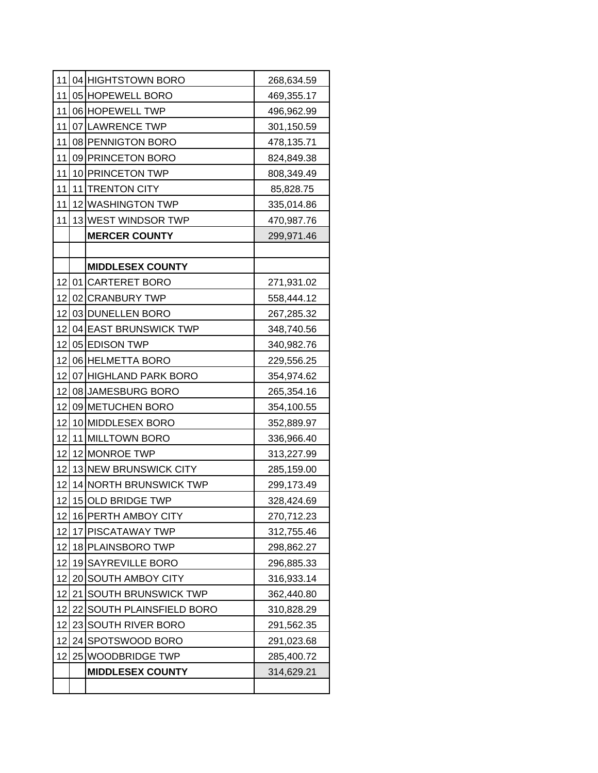|    |    | 11 04 HIGHTSTOWN BORO         | 268,634.59 |
|----|----|-------------------------------|------------|
| 11 |    | 05 HOPEWELL BORO              | 469,355.17 |
| 11 |    | 06 HOPEWELL TWP               | 496,962.99 |
| 11 |    | 07 LAWRENCE TWP               | 301,150.59 |
| 11 |    | 08 PENNIGTON BORO             | 478,135.71 |
| 11 |    | 09 PRINCETON BORO             | 824,849.38 |
| 11 |    | 10 PRINCETON TWP              | 808,349.49 |
| 11 |    | 11 TRENTON CITY               | 85,828.75  |
| 11 |    | 12 WASHINGTON TWP             | 335,014.86 |
| 11 |    | 13 WEST WINDSOR TWP           | 470,987.76 |
|    |    | <b>MERCER COUNTY</b>          | 299,971.46 |
|    |    |                               |            |
|    |    | <b>MIDDLESEX COUNTY</b>       |            |
|    |    | 12 01 CARTERET BORO           | 271,931.02 |
| 12 |    | 02 CRANBURY TWP               | 558,444.12 |
| 12 |    | 03 DUNELLEN BORO              | 267,285.32 |
|    |    | 12 04 EAST BRUNSWICK TWP      | 348,740.56 |
|    |    | 12 05 EDISON TWP              | 340,982.76 |
| 12 |    | 06 HELMETTA BORO              | 229,556.25 |
|    |    | 12 07 HIGHLAND PARK BORO      | 354,974.62 |
|    |    | 12 08 JAMESBURG BORO          | 265,354.16 |
| 12 |    | 09 METUCHEN BORO              | 354,100.55 |
| 12 |    | 10 MIDDLESEX BORO             | 352,889.97 |
|    |    | 12 11 MILLTOWN BORO           | 336,966.40 |
| 12 |    | 12 MONROE TWP                 | 313,227.99 |
| 12 |    | 13 NEW BRUNSWICK CITY         | 285,159.00 |
| 12 |    | 14 NORTH BRUNSWICK TWP        | 299,173.49 |
| 12 |    | 15 OLD BRIDGE TWP             | 328,424.69 |
| 12 |    | 16 PERTH AMBOY CITY           | 270,712.23 |
| 12 |    | 17 PISCATAWAY TWP             | 312,755.46 |
| 12 |    | 18 PLAINSBORO TWP             | 298,862.27 |
| 12 |    | 19 SAYREVILLE BORO            | 296,885.33 |
| 12 |    | 20 SOUTH AMBOY CITY           | 316,933.14 |
| 12 | 21 | <b>SOUTH BRUNSWICK TWP</b>    | 362,440.80 |
| 12 | 22 | <b>SOUTH PLAINSFIELD BORO</b> | 310,828.29 |
| 12 |    | 23 SOUTH RIVER BORO           | 291,562.35 |
| 12 |    | 24 SPOTSWOOD BORO             | 291,023.68 |
| 12 | 25 | <b>WOODBRIDGE TWP</b>         | 285,400.72 |
|    |    | <b>MIDDLESEX COUNTY</b>       | 314,629.21 |
|    |    |                               |            |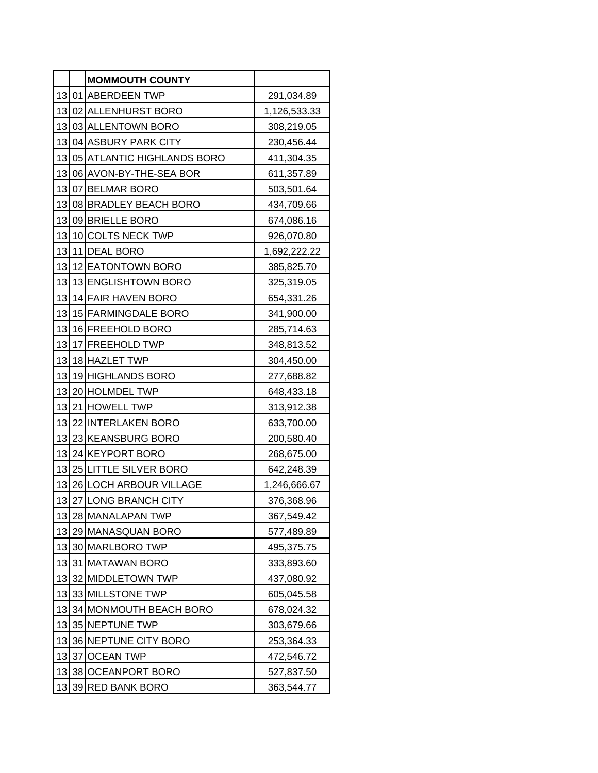|     | <b>MOMMOUTH COUNTY</b>     |              |
|-----|----------------------------|--------------|
|     | 13 01 ABERDEEN TWP         | 291,034.89   |
| 13  | 02 ALLENHURST BORO         | 1,126,533.33 |
|     | 13 03 ALLENTOWN BORO       | 308,219.05   |
| 13  | 04 ASBURY PARK CITY        | 230,456.44   |
| 13  | 05 ATLANTIC HIGHLANDS BORO | 411,304.35   |
|     | 13 06 AVON-BY-THE-SEA BOR  | 611,357.89   |
|     | 13 07 BELMAR BORO          | 503,501.64   |
| 13  | 08 BRADLEY BEACH BORO      | 434,709.66   |
|     | 13 09 BRIELLE BORO         | 674,086.16   |
| 131 | 10 COLTS NECK TWP          | 926,070.80   |
|     | 13 11 DEAL BORO            | 1,692,222.22 |
|     | 13 12 EATONTOWN BORO       | 385,825.70   |
| 13  | 13 ENGLISHTOWN BORO        | 325,319.05   |
| 13  | 14 FAIR HAVEN BORO         | 654,331.26   |
|     | 13 15 FARMINGDALE BORO     | 341,900.00   |
|     | 13 16 FREEHOLD BORO        | 285,714.63   |
|     | 13 17 FREEHOLD TWP         | 348,813.52   |
|     | 13 18 HAZLET TWP           | 304,450.00   |
| 13  | 19 HIGHLANDS BORO          | 277,688.82   |
| 13  | 20 HOLMDEL TWP             | 648,433.18   |
|     | 13 21 HOWELL TWP           | 313,912.38   |
| 13  | 22 INTERLAKEN BORO         | 633,700.00   |
| 13  | 23 KEANSBURG BORO          | 200,580.40   |
| 13  | 24 KEYPORT BORO            | 268,675.00   |
| 13  | 25 LITTLE SILVER BORO      | 642,248.39   |
| 13  | 26 LOCH ARBOUR VILLAGE     | 1,246,666.67 |
| 13  | 27 LONG BRANCH CITY        | 376,368.96   |
| 13  | 28 MANALAPAN TWP           | 367,549.42   |
| 13  | 29 MANASQUAN BORO          | 577,489.89   |
| 13  | 30 MARLBORO TWP            | 495,375.75   |
| 13  | 31 MATAWAN BORO            | 333,893.60   |
| 13  | 32 MIDDLETOWN TWP          | 437,080.92   |
| 13  | 33 MILLSTONE TWP           | 605,045.58   |
| 13  | 34 MONMOUTH BEACH BORO     | 678,024.32   |
| 13  | 35 NEPTUNE TWP             | 303,679.66   |
| 13  | 36 NEPTUNE CITY BORO       | 253,364.33   |
| 13  | 37 OCEAN TWP               | 472,546.72   |
| 13  | 38 OCEANPORT BORO          | 527,837.50   |
| 13  | 39 RED BANK BORO           | 363,544.77   |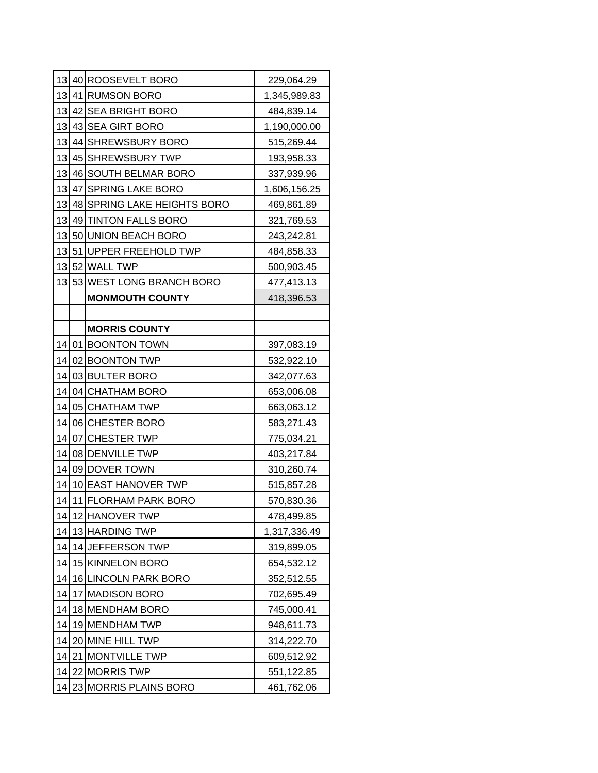|                 | 13 40 ROOSEVELT BORO        | 229,064.29   |
|-----------------|-----------------------------|--------------|
|                 | 13 41 RUMSON BORO           | 1,345,989.83 |
| 13              | 42 SEA BRIGHT BORO          | 484,839.14   |
|                 | 13 43 SEA GIRT BORO         | 1,190,000.00 |
| 13 <sup>l</sup> | 44 SHREWSBURY BORO          | 515,269.44   |
| 13              | 45 SHREWSBURY TWP           | 193,958.33   |
|                 | 13 46 SOUTH BELMAR BORO     | 337,939.96   |
| 13 <sup>l</sup> | 47 SPRING LAKE BORO         | 1,606,156.25 |
| 13              | 48 SPRING LAKE HEIGHTS BORO | 469,861.89   |
| 13              | 49 TINTON FALLS BORO        | 321,769.53   |
| 13              | 50 UNION BEACH BORO         | 243,242.81   |
| 13              | 51 UPPER FREEHOLD TWP       | 484,858.33   |
|                 | 13 52 WALL TWP              | 500,903.45   |
| 13              | 53 WEST LONG BRANCH BORO    | 477,413.13   |
|                 | <b>MONMOUTH COUNTY</b>      | 418,396.53   |
|                 |                             |              |
|                 | <b>MORRIS COUNTY</b>        |              |
| 14              | 01 BOONTON TOWN             | 397,083.19   |
| 14              | 02 BOONTON TWP              | 532,922.10   |
| 14              | 03 BULTER BORO              | 342,077.63   |
| 14              | 04 CHATHAM BORO             | 653,006.08   |
| 14              | 05 CHATHAM TWP              | 663,063.12   |
| 14              | 06 CHESTER BORO             | 583,271.43   |
| 14              | 07 CHESTER TWP              | 775,034.21   |
| 14              | 08 DENVILLE TWP             | 403,217.84   |
| 14              | 09 DOVER TOWN               | 310,260.74   |
| 14              | 10 EAST HANOVER TWP         | 515,857.28   |
| 14              | 11 FLORHAM PARK BORO        | 570,830.36   |
| 14              | 12 HANOVER TWP              | 478,499.85   |
| 14              | 13 HARDING TWP              | 1,317,336.49 |
| 14              | 14 JEFFERSON TWP            | 319,899.05   |
| 14              | 15 KINNELON BORO            | 654,532.12   |
| 14              | 16 LINCOLN PARK BORO        | 352,512.55   |
| 14              | 17 MADISON BORO             | 702,695.49   |
| 14              | 18 MENDHAM BORO             | 745,000.41   |
| 14              | 19 MENDHAM TWP              | 948,611.73   |
| 14              | 20 MINE HILL TWP            | 314,222.70   |
| 14              | 21 MONTVILLE TWP            | 609,512.92   |
| 14              | 22 MORRIS TWP               | 551,122.85   |
| 14              | 23 MORRIS PLAINS BORO       | 461,762.06   |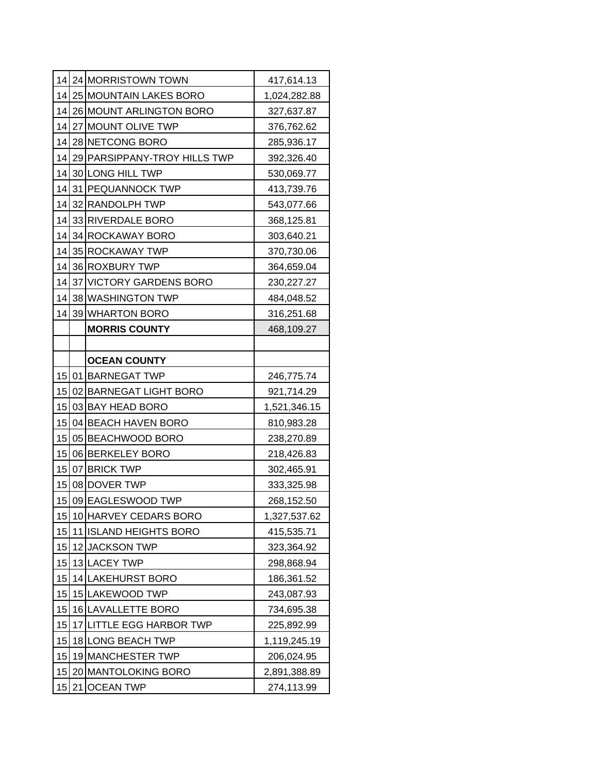|    | 14 24 MORRISTOWN TOWN        | 417,614.13   |
|----|------------------------------|--------------|
| 14 | 25 MOUNTAIN LAKES BORO       | 1,024,282.88 |
| 14 | 26 MOUNT ARLINGTON BORO      | 327,637.87   |
| 14 | 27 MOUNT OLIVE TWP           | 376,762.62   |
| 14 | 28 NETCONG BORO              | 285,936.17   |
| 14 | 29 PARSIPPANY-TROY HILLS TWP | 392,326.40   |
| 14 | 30 LONG HILL TWP             | 530,069.77   |
| 14 | 31 PEQUANNOCK TWP            | 413,739.76   |
| 14 | 32 RANDOLPH TWP              | 543,077.66   |
| 14 | 33 RIVERDALE BORO            | 368,125.81   |
| 14 | 34 ROCKAWAY BORO             | 303,640.21   |
| 14 | 35 ROCKAWAY TWP              | 370,730.06   |
| 14 | 36 ROXBURY TWP               | 364,659.04   |
| 14 | 37 VICTORY GARDENS BORO      | 230,227.27   |
| 14 | 38 WASHINGTON TWP            | 484,048.52   |
| 14 | 39 WHARTON BORO              | 316,251.68   |
|    | <b>MORRIS COUNTY</b>         | 468,109.27   |
|    |                              |              |
|    | <b>OCEAN COUNTY</b>          |              |
|    | 15 01 BARNEGAT TWP           | 246,775.74   |
| 15 | 02 BARNEGAT LIGHT BORO       | 921,714.29   |
| 15 | 03 BAY HEAD BORO             | 1,521,346.15 |
| 15 | 04 BEACH HAVEN BORO          | 810,983.28   |
| 15 | 05 BEACHWOOD BORO            | 238,270.89   |
| 15 | 06 BERKELEY BORO             | 218,426.83   |
| 15 | 07 BRICK TWP                 | 302,465.91   |
| 15 | 08 DOVER TWP                 | 333,325.98   |
| 15 | 09 EAGLESWOOD TWP            | 268,152.50   |
| 15 | 10 HARVEY CEDARS BORO        | 1,327,537.62 |
| 15 | 11 ISLAND HEIGHTS BORO       | 415,535.71   |
| 15 | 12 JACKSON TWP               | 323,364.92   |
| 15 | 13 LACEY TWP                 | 298,868.94   |
| 15 | 14 LAKEHURST BORO            | 186,361.52   |
| 15 | 15 LAKEWOOD TWP              | 243,087.93   |
| 15 | 16 LAVALLETTE BORO           | 734,695.38   |
| 15 | 17 LITTLE EGG HARBOR TWP     | 225,892.99   |
| 15 | 18 LONG BEACH TWP            | 1,119,245.19 |
| 15 | 19 MANCHESTER TWP            | 206,024.95   |
| 15 | 20 MANTOLOKING BORO          | 2,891,388.89 |
| 15 | 21 OCEAN TWP                 | 274,113.99   |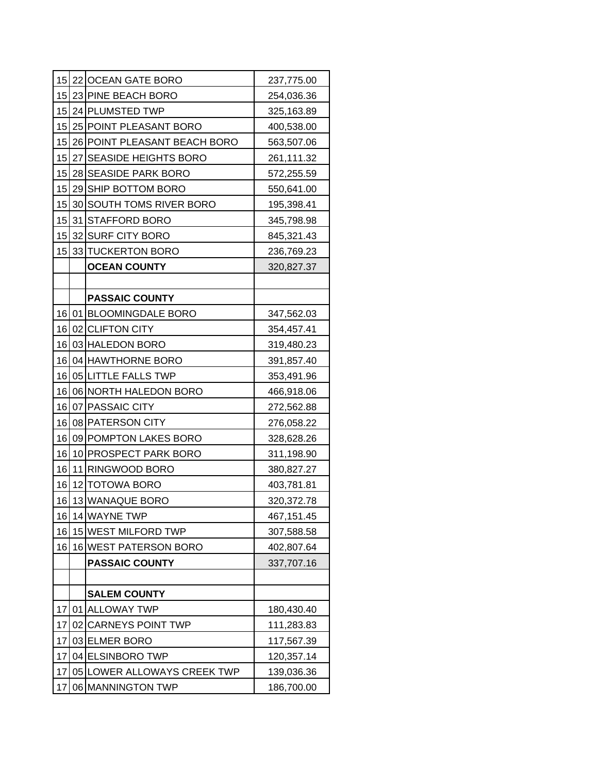|    |    | 15 22 OCEAN GATE BORO        | 237,775.00 |
|----|----|------------------------------|------------|
| 15 |    | 23 PINE BEACH BORO           | 254,036.36 |
| 15 |    | 24 PLUMSTED TWP              | 325,163.89 |
|    |    | 15 25 POINT PLEASANT BORO    | 400,538.00 |
| 15 |    | 26 POINT PLEASANT BEACH BORO | 563,507.06 |
| 15 |    | 27 SEASIDE HEIGHTS BORO      | 261,111.32 |
| 15 |    | 28 SEASIDE PARK BORO         | 572,255.59 |
| 15 |    | 29 SHIP BOTTOM BORO          | 550,641.00 |
| 15 |    | 30 SOUTH TOMS RIVER BORO     | 195,398.41 |
|    |    | 15 31 STAFFORD BORO          | 345,798.98 |
|    |    | 15 32 SURF CITY BORO         | 845,321.43 |
| 15 |    | 33 TUCKERTON BORO            | 236,769.23 |
|    |    | <b>OCEAN COUNTY</b>          | 320,827.37 |
|    |    |                              |            |
|    |    | <b>PASSAIC COUNTY</b>        |            |
|    |    | 16 01 BLOOMINGDALE BORO      | 347,562.03 |
|    |    | 16 02 CLIFTON CITY           | 354,457.41 |
| 16 |    | 03 HALEDON BORO              | 319,480.23 |
| 16 |    | 04 HAWTHORNE BORO            | 391,857.40 |
|    |    | 16 05 LITTLE FALLS TWP       | 353,491.96 |
| 16 |    | 06 NORTH HALEDON BORO        | 466,918.06 |
| 16 |    | 07 PASSAIC CITY              | 272,562.88 |
|    |    | 16 08 PATERSON CITY          | 276,058.22 |
| 16 |    | 09 POMPTON LAKES BORO        | 328,628.26 |
| 16 |    | 10 PROSPECT PARK BORO        | 311,198.90 |
| 16 |    | 11 RINGWOOD BORO             | 380,827.27 |
| 16 |    | 12 TOTOWA BORO               | 403,781.81 |
| 16 |    | 13 WANAQUE BORO              | 320,372.78 |
| 16 |    | 14 WAYNE TWP                 | 467,151.45 |
| 16 |    | 15 WEST MILFORD TWP          | 307,588.58 |
| 16 |    | 16 WEST PATERSON BORO        | 402,807.64 |
|    |    | <b>PASSAIC COUNTY</b>        | 337,707.16 |
|    |    |                              |            |
|    |    | <b>SALEM COUNTY</b>          |            |
| 17 | 01 | <b>ALLOWAY TWP</b>           | 180,430.40 |
| 17 | 02 | <b>CARNEYS POINT TWP</b>     | 111,283.83 |
| 17 |    | 03 ELMER BORO                | 117,567.39 |
| 17 |    | 04 ELSINBORO TWP             | 120,357.14 |
| 17 |    | 05 LOWER ALLOWAYS CREEK TWP  | 139,036.36 |
| 17 | 06 | <b>MANNINGTON TWP</b>        | 186,700.00 |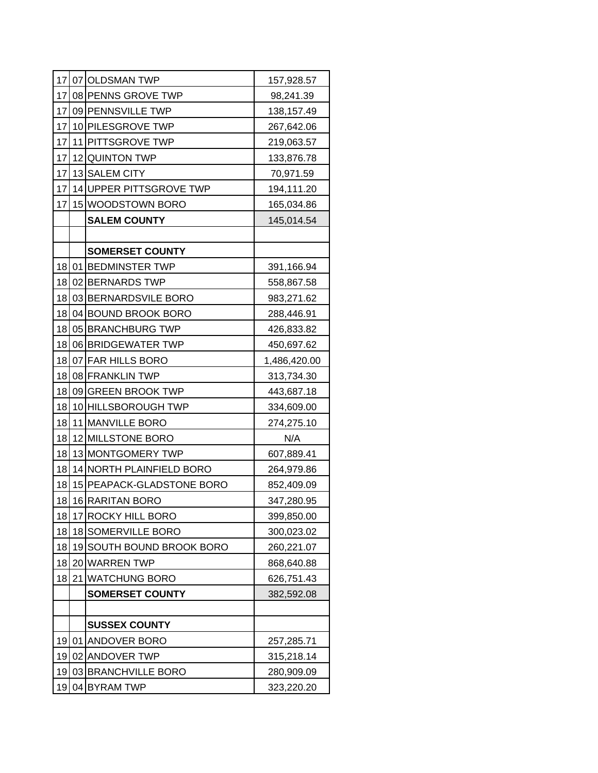|                 | 17 07 OLDSMAN TWP         | 157,928.57   |
|-----------------|---------------------------|--------------|
| 17              | 08 PENNS GROVE TWP        | 98,241.39    |
| 17              | 09 PENNSVILLE TWP         | 138,157.49   |
| 17              | 10 PILESGROVE TWP         | 267,642.06   |
| 17 <sub>l</sub> | 11 PITTSGROVE TWP         | 219,063.57   |
| 17              | 12 QUINTON TWP            | 133,876.78   |
|                 | 17 13 SALEM CITY          | 70,971.59    |
| 17 <sub>l</sub> | 14 UPPER PITTSGROVE TWP   | 194,111.20   |
| 17              | 15 WOODSTOWN BORO         | 165,034.86   |
|                 | <b>SALEM COUNTY</b>       | 145,014.54   |
|                 |                           |              |
|                 | <b>SOMERSET COUNTY</b>    |              |
|                 | 18 01 BEDMINSTER TWP      | 391,166.94   |
|                 | 18 02 BERNARDS TWP        | 558,867.58   |
| 18              | 03 BERNARDSVILE BORO      | 983,271.62   |
| 18              | 04 BOUND BROOK BORO       | 288,446.91   |
|                 | 18 05 BRANCHBURG TWP      | 426,833.82   |
| 18              | 06 BRIDGEWATER TWP        | 450,697.62   |
| 18              | 07 FAR HILLS BORO         | 1,486,420.00 |
|                 | 18 08 FRANKLIN TWP        | 313,734.30   |
| 18              | 09 GREEN BROOK TWP        | 443,687.18   |
| 18              | 10 HILLSBOROUGH TWP       | 334,609.00   |
| 18              | 11 MANVILLE BORO          | 274,275.10   |
| 18              | 12 MILLSTONE BORO         | N/A          |
| 18              | 13 MONTGOMERY TWP         | 607,889.41   |
| 18              | 14 NORTH PLAINFIELD BORO  | 264,979.86   |
| 18              | 15 PEAPACK-GLADSTONE BORO | 852,409.09   |
| 18              | 16 RARITAN BORO           | 347,280.95   |
| 18              | 17 ROCKY HILL BORO        | 399,850.00   |
| 18              | 18 SOMERVILLE BORO        | 300,023.02   |
| 18              | 19 SOUTH BOUND BROOK BORO | 260,221.07   |
| 18              | 20 WARREN TWP             | 868,640.88   |
| 18              | 21 WATCHUNG BORO          | 626,751.43   |
|                 | <b>SOMERSET COUNTY</b>    | 382,592.08   |
|                 |                           |              |
|                 | <b>SUSSEX COUNTY</b>      |              |
| 19              | 01 ANDOVER BORO           | 257,285.71   |
| 19              | 02 ANDOVER TWP            | 315,218.14   |
| 19              | 03 BRANCHVILLE BORO       | 280,909.09   |
| 19              | 04 BYRAM TWP              | 323,220.20   |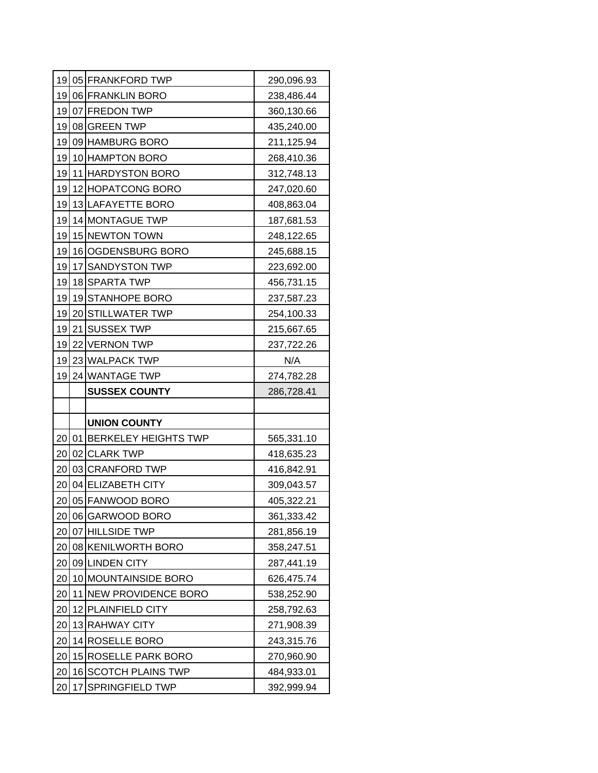| 19 | 05 FRANKFORD TWP        | 290,096.93 |
|----|-------------------------|------------|
| 19 | 06 FRANKLIN BORO        | 238,486.44 |
| 19 | 07 FREDON TWP           | 360,130.66 |
| 19 | 08 GREEN TWP            | 435,240.00 |
| 19 | 09 HAMBURG BORO         | 211,125.94 |
| 19 | 10 HAMPTON BORO         | 268,410.36 |
| 19 | 11 HARDYSTON BORO       | 312,748.13 |
| 19 | 12 HOPATCONG BORO       | 247,020.60 |
| 19 | 13 LAFAYETTE BORO       | 408,863.04 |
| 19 | 14 MONTAGUE TWP         | 187,681.53 |
| 19 | 15 NEWTON TOWN          | 248,122.65 |
| 19 | 16 OGDENSBURG BORO      | 245,688.15 |
| 19 | 17 SANDYSTON TWP        | 223,692.00 |
| 19 | 18 SPARTA TWP           | 456,731.15 |
| 19 | 19 STANHOPE BORO        | 237,587.23 |
| 19 | 20 STILLWATER TWP       | 254,100.33 |
| 19 | 21 SUSSEX TWP           | 215,667.65 |
| 19 | 22 VERNON TWP           | 237,722.26 |
| 19 | 23 WALPACK TWP          | N/A        |
| 19 | 24 WANTAGE TWP          | 274,782.28 |
|    |                         |            |
|    | <b>SUSSEX COUNTY</b>    | 286,728.41 |
|    |                         |            |
|    | <b>UNION COUNTY</b>     |            |
| 20 | 01 BERKELEY HEIGHTS TWP | 565,331.10 |
| 20 | 02 CLARK TWP            | 418,635.23 |
| 20 | 03 CRANFORD TWP         | 416,842.91 |
| 20 | 04 ELIZABETH CITY       | 309,043.57 |
| 20 | 05 FANWOOD BORO         | 405,322.21 |
| 20 | 06 GARWOOD BORO         | 361,333.42 |
| 20 | 07 HILLSIDE TWP         | 281,856.19 |
| 20 | 08 KENILWORTH BORO      | 358,247.51 |
| 20 | 09 LINDEN CITY          | 287,441.19 |
| 20 | 10 MOUNTAINSIDE BORO    | 626,475.74 |
| 20 | 11 NEW PROVIDENCE BORO  | 538,252.90 |
| 20 | 12 PLAINFIELD CITY      | 258,792.63 |
| 20 | 13 RAHWAY CITY          | 271,908.39 |
| 20 | 14 ROSELLE BORO         | 243,315.76 |
| 20 | 15 ROSELLE PARK BORO    | 270,960.90 |
| 20 | 16 SCOTCH PLAINS TWP    | 484,933.01 |